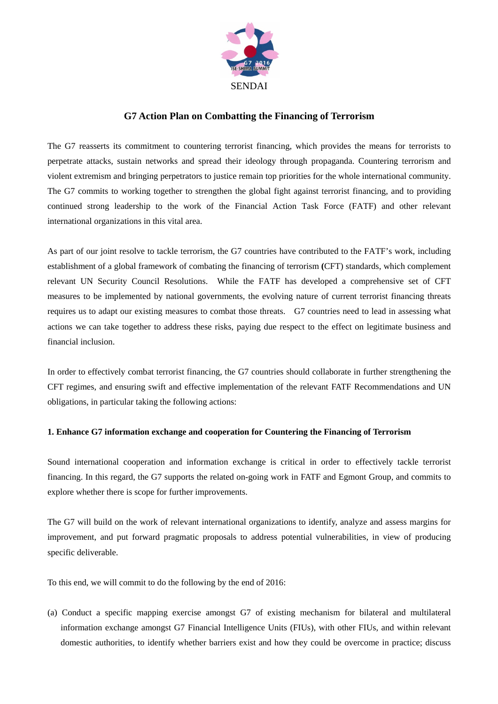

# **G7 Action Plan on Combatting the Financing of Terrorism**

The G7 reasserts its commitment to countering terrorist financing, which provides the means for terrorists to perpetrate attacks, sustain networks and spread their ideology through propaganda. Countering terrorism and violent extremism and bringing perpetrators to justice remain top priorities for the whole international community. The G7 commits to working together to strengthen the global fight against terrorist financing, and to providing continued strong leadership to the work of the Financial Action Task Force (FATF) and other relevant international organizations in this vital area.

As part of our joint resolve to tackle terrorism, the G7 countries have contributed to the FATF's work, including establishment of a global framework of combating the financing of terrorism **(**CFT) standards, which complement relevant UN Security Council Resolutions. While the FATF has developed a comprehensive set of CFT measures to be implemented by national governments, the evolving nature of current terrorist financing threats requires us to adapt our existing measures to combat those threats. G7 countries need to lead in assessing what actions we can take together to address these risks, paying due respect to the effect on legitimate business and financial inclusion.

In order to effectively combat terrorist financing, the G7 countries should collaborate in further strengthening the CFT regimes, and ensuring swift and effective implementation of the relevant FATF Recommendations and UN obligations, in particular taking the following actions:

## **1. Enhance G7 information exchange and cooperation for Countering the Financing of Terrorism**

Sound international cooperation and information exchange is critical in order to effectively tackle terrorist financing. In this regard, the G7 supports the related on-going work in FATF and Egmont Group, and commits to explore whether there is scope for further improvements.

The G7 will build on the work of relevant international organizations to identify, analyze and assess margins for improvement, and put forward pragmatic proposals to address potential vulnerabilities, in view of producing specific deliverable.

To this end, we will commit to do the following by the end of 2016:

(a) Conduct a specific mapping exercise amongst G7 of existing mechanism for bilateral and multilateral information exchange amongst G7 Financial Intelligence Units (FIUs), with other FIUs, and within relevant domestic authorities, to identify whether barriers exist and how they could be overcome in practice; discuss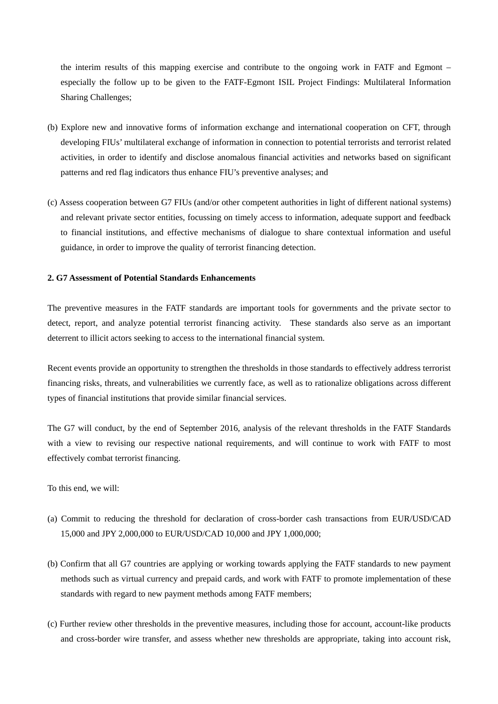the interim results of this mapping exercise and contribute to the ongoing work in FATF and Egmont – especially the follow up to be given to the FATF-Egmont ISIL Project Findings: Multilateral Information Sharing Challenges;

- (b) Explore new and innovative forms of information exchange and international cooperation on CFT, through developing FIUs' multilateral exchange of information in connection to potential terrorists and terrorist related activities, in order to identify and disclose anomalous financial activities and networks based on significant patterns and red flag indicators thus enhance FIU's preventive analyses; and
- (c) Assess cooperation between G7 FIUs (and/or other competent authorities in light of different national systems) and relevant private sector entities, focussing on timely access to information, adequate support and feedback to financial institutions, and effective mechanisms of dialogue to share contextual information and useful guidance, in order to improve the quality of terrorist financing detection.

### **2. G7 Assessment of Potential Standards Enhancements**

The preventive measures in the FATF standards are important tools for governments and the private sector to detect, report, and analyze potential terrorist financing activity. These standards also serve as an important deterrent to illicit actors seeking to access to the international financial system.

Recent events provide an opportunity to strengthen the thresholds in those standards to effectively address terrorist financing risks, threats, and vulnerabilities we currently face, as well as to rationalize obligations across different types of financial institutions that provide similar financial services.

The G7 will conduct, by the end of September 2016, analysis of the relevant thresholds in the FATF Standards with a view to revising our respective national requirements, and will continue to work with FATF to most effectively combat terrorist financing.

To this end, we will:

- (a) Commit to reducing the threshold for declaration of cross-border cash transactions from EUR/USD/CAD 15,000 and JPY 2,000,000 to EUR/USD/CAD 10,000 and JPY 1,000,000;
- (b) Confirm that all G7 countries are applying or working towards applying the FATF standards to new payment methods such as virtual currency and prepaid cards, and work with FATF to promote implementation of these standards with regard to new payment methods among FATF members;
- (c) Further review other thresholds in the preventive measures, including those for account, account-like products and cross-border wire transfer, and assess whether new thresholds are appropriate, taking into account risk,